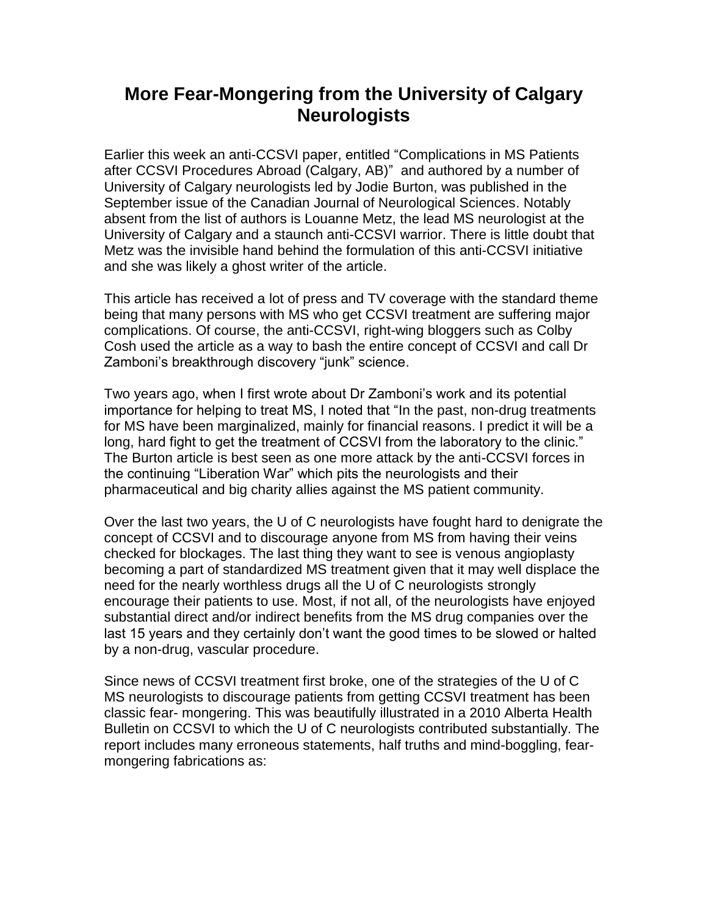## **More Fear-Mongering from the University of Calgary Neurologists**

Earlier this week an anti-CCSVI paper, entitled "Complications in MS Patients after CCSVI Procedures Abroad (Calgary, AB)" and authored by a number of University of Calgary neurologists led by Jodie Burton, was published in the September issue of the Canadian Journal of Neurological Sciences. Notably absent from the list of authors is Louanne Metz, the lead MS neurologist at the University of Calgary and a staunch anti-CCSVI warrior. There is little doubt that Metz was the invisible hand behind the formulation of this anti-CCSVI initiative and she was likely a ghost writer of the article.

This article has received a lot of press and TV coverage with the standard theme being that many persons with MS who get CCSVI treatment are suffering major complications. Of course, the anti-CCSVI, right-wing bloggers such as Colby Cosh used the article as a way to bash the entire concept of CCSVI and call Dr Zamboni's breakthrough discovery "junk" science.

Two years ago, when I first wrote about Dr Zamboni's work and its potential importance for helping to treat MS, I noted that "In the past, non-drug treatments for MS have been marginalized, mainly for financial reasons. I predict it will be a long, hard fight to get the treatment of CCSVI from the laboratory to the clinic." The Burton article is best seen as one more attack by the anti-CCSVI forces in the continuing "Liberation War" which pits the neurologists and their pharmaceutical and big charity allies against the MS patient community.

Over the last two years, the U of C neurologists have fought hard to denigrate the concept of CCSVI and to discourage anyone from MS from having their veins checked for blockages. The last thing they want to see is venous angioplasty becoming a part of standardized MS treatment given that it may well displace the need for the nearly worthless drugs all the U of C neurologists strongly encourage their patients to use. Most, if not all, of the neurologists have enjoyed substantial direct and/or indirect benefits from the MS drug companies over the last 15 years and they certainly don't want the good times to be slowed or halted by a non-drug, vascular procedure.

Since news of CCSVI treatment first broke, one of the strategies of the U of C MS neurologists to discourage patients from getting CCSVI treatment has been classic fear- mongering. This was beautifully illustrated in a 2010 Alberta Health Bulletin on CCSVI to which the U of C neurologists contributed substantially. The report includes many erroneous statements, half truths and mind-boggling, fearmongering fabrications as: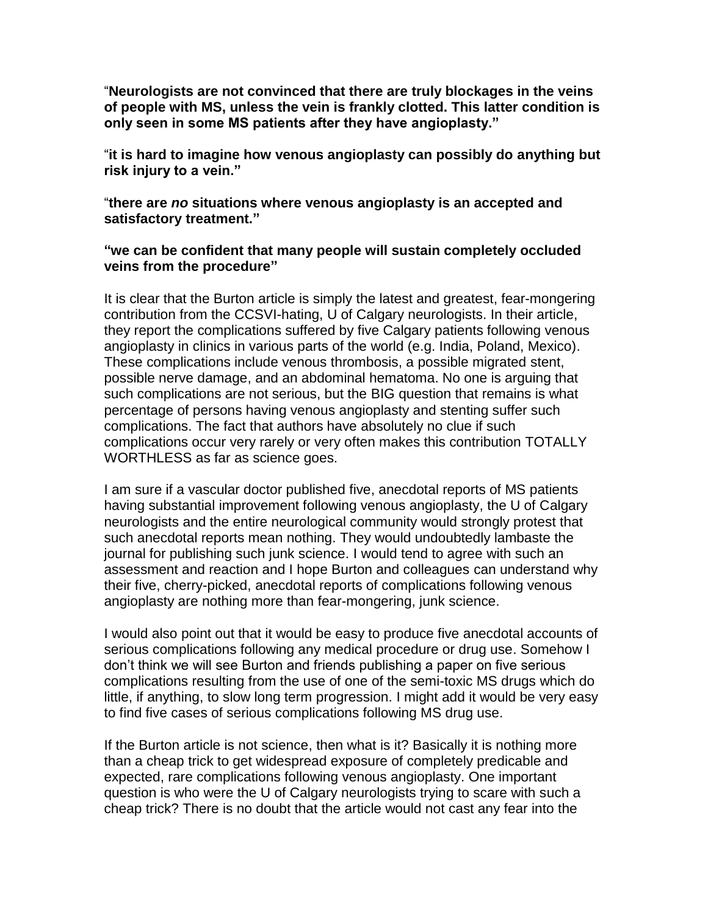"**Neurologists are not convinced that there are truly blockages in the veins of people with MS, unless the vein is frankly clotted. This latter condition is only seen in some MS patients after they have angioplasty."**

"**it is hard to imagine how venous angioplasty can possibly do anything but risk injury to a vein."**

"**there are** *no* **situations where venous angioplasty is an accepted and satisfactory treatment."**

## **"we can be confident that many people will sustain completely occluded veins from the procedure"**

It is clear that the Burton article is simply the latest and greatest, fear-mongering contribution from the CCSVI-hating, U of Calgary neurologists. In their article, they report the complications suffered by five Calgary patients following venous angioplasty in clinics in various parts of the world (e.g. India, Poland, Mexico). These complications include venous thrombosis, a possible migrated stent, possible nerve damage, and an abdominal hematoma. No one is arguing that such complications are not serious, but the BIG question that remains is what percentage of persons having venous angioplasty and stenting suffer such complications. The fact that authors have absolutely no clue if such complications occur very rarely or very often makes this contribution TOTALLY WORTHLESS as far as science goes.

I am sure if a vascular doctor published five, anecdotal reports of MS patients having substantial improvement following venous angioplasty, the U of Calgary neurologists and the entire neurological community would strongly protest that such anecdotal reports mean nothing. They would undoubtedly lambaste the journal for publishing such junk science. I would tend to agree with such an assessment and reaction and I hope Burton and colleagues can understand why their five, cherry-picked, anecdotal reports of complications following venous angioplasty are nothing more than fear-mongering, junk science.

I would also point out that it would be easy to produce five anecdotal accounts of serious complications following any medical procedure or drug use. Somehow I don't think we will see Burton and friends publishing a paper on five serious complications resulting from the use of one of the semi-toxic MS drugs which do little, if anything, to slow long term progression. I might add it would be very easy to find five cases of serious complications following MS drug use.

If the Burton article is not science, then what is it? Basically it is nothing more than a cheap trick to get widespread exposure of completely predicable and expected, rare complications following venous angioplasty. One important question is who were the U of Calgary neurologists trying to scare with such a cheap trick? There is no doubt that the article would not cast any fear into the